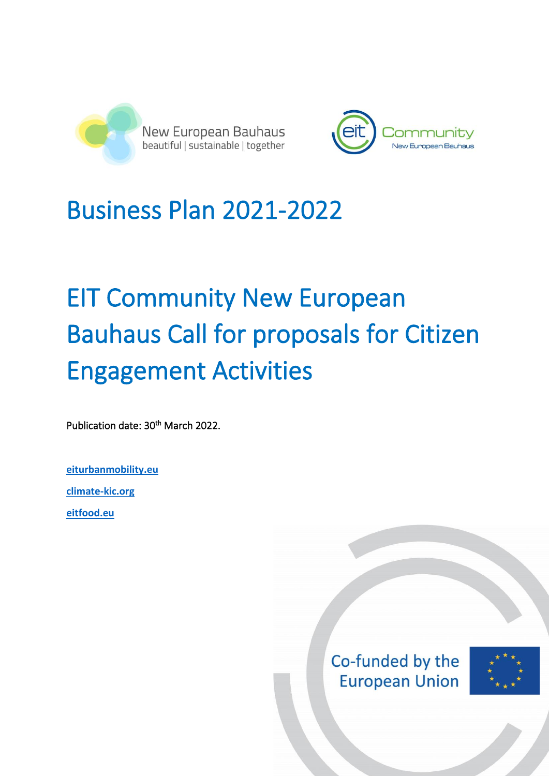



## Business Plan 2021-2022

# EIT Community New European Bauhaus Call for proposals for Citizen Engagement Activities

Publication date: 30<sup>th</sup> March 2022.

**[eiturbanmobility.eu](http://www.eiturbanmobility.eu/) [climate-kic.org](https://www.climate-kic.org/)**

**[eitfood.eu](https://www.eitfood.eu/)**

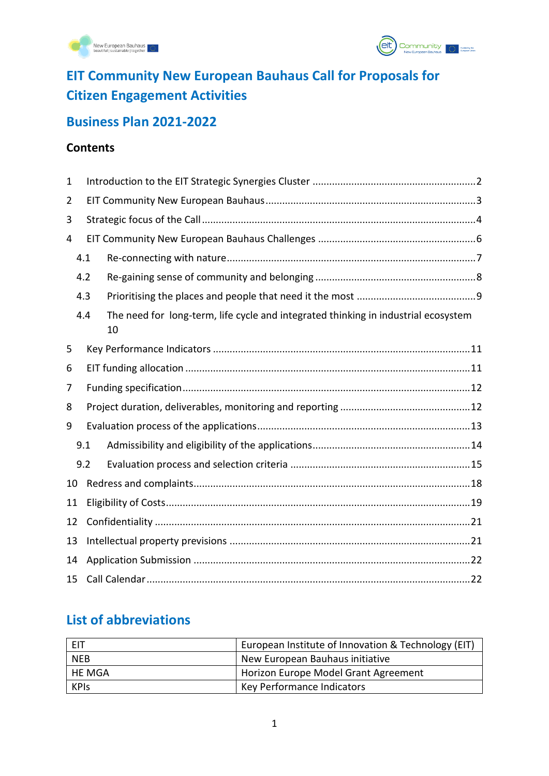



## **EIT Community New European Bauhaus Call for Proposals for Citizen Engagement Activities**

## **Business Plan 2021-2022**

#### **Contents**

| 1              |     |                                                                                          |  |  |  |
|----------------|-----|------------------------------------------------------------------------------------------|--|--|--|
| $\overline{2}$ |     |                                                                                          |  |  |  |
| 3              |     |                                                                                          |  |  |  |
| 4              |     |                                                                                          |  |  |  |
|                | 4.1 |                                                                                          |  |  |  |
| 4.2            |     |                                                                                          |  |  |  |
| 4.3            |     |                                                                                          |  |  |  |
|                | 4.4 | The need for long-term, life cycle and integrated thinking in industrial ecosystem<br>10 |  |  |  |
| 5              |     |                                                                                          |  |  |  |
| 6              |     |                                                                                          |  |  |  |
| 7              |     |                                                                                          |  |  |  |
| 8              |     |                                                                                          |  |  |  |
| 9              |     |                                                                                          |  |  |  |
|                | 9.1 |                                                                                          |  |  |  |
|                | 9.2 |                                                                                          |  |  |  |
| 10             |     |                                                                                          |  |  |  |
| 11             |     |                                                                                          |  |  |  |
| 12             |     |                                                                                          |  |  |  |
| 13             |     |                                                                                          |  |  |  |
| 14             |     |                                                                                          |  |  |  |
| 15             |     |                                                                                          |  |  |  |

## **List of abbreviations**

| EIT         | European Institute of Innovation & Technology (EIT) |
|-------------|-----------------------------------------------------|
| <b>NEB</b>  | New European Bauhaus initiative                     |
| HE MGA      | Horizon Europe Model Grant Agreement                |
| <b>KPIS</b> | Key Performance Indicators                          |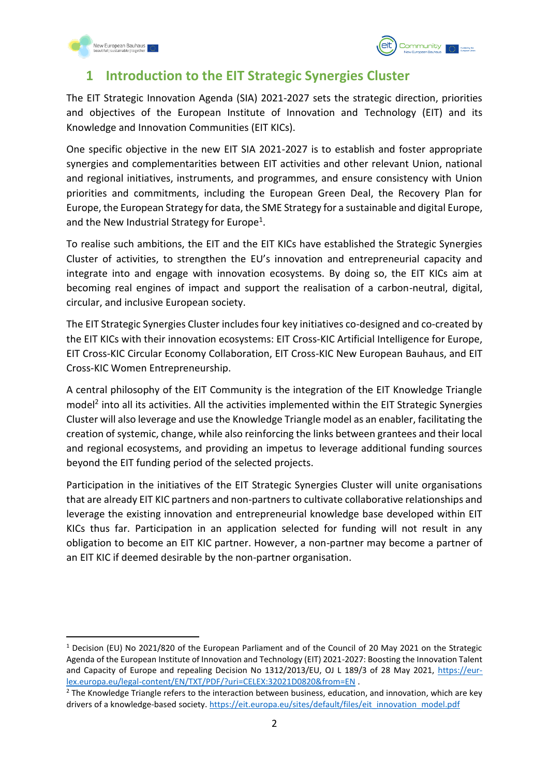



## <span id="page-2-0"></span>**1 Introduction to the EIT Strategic Synergies Cluster**

The EIT Strategic Innovation Agenda (SIA) 2021-2027 sets the strategic direction, priorities and objectives of the European Institute of Innovation and Technology (EIT) and its Knowledge and Innovation Communities (EIT KICs).

One specific objective in the new EIT SIA 2021-2027 is to establish and foster appropriate synergies and complementarities between EIT activities and other relevant Union, national and regional initiatives, instruments, and programmes, and ensure consistency with Union priorities and commitments, including the European Green Deal, the Recovery Plan for Europe, the European Strategy for data, the SME Strategy for a sustainable and digital Europe, and the New Industrial Strategy for Europe<sup>1</sup>.

To realise such ambitions, the EIT and the EIT KICs have established the Strategic Synergies Cluster of activities, to strengthen the EU's innovation and entrepreneurial capacity and integrate into and engage with innovation ecosystems. By doing so, the EIT KICs aim at becoming real engines of impact and support the realisation of a carbon-neutral, digital, circular, and inclusive European society.

The EIT Strategic Synergies Cluster includes four key initiatives co-designed and co-created by the EIT KICs with their innovation ecosystems: EIT Cross-KIC Artificial Intelligence for Europe, EIT Cross-KIC Circular Economy Collaboration, EIT Cross-KIC New European Bauhaus, and EIT Cross-KIC Women Entrepreneurship.

A central philosophy of the EIT Community is the integration of the EIT Knowledge Triangle model<sup>2</sup> into all its activities. All the activities implemented within the EIT Strategic Synergies Cluster will also leverage and use the Knowledge Triangle model as an enabler, facilitating the creation of systemic, change, while also reinforcing the links between grantees and their local and regional ecosystems, and providing an impetus to leverage additional funding sources beyond the EIT funding period of the selected projects.

Participation in the initiatives of the EIT Strategic Synergies Cluster will unite organisations that are already EIT KIC partners and non-partners to cultivate collaborative relationships and leverage the existing innovation and entrepreneurial knowledge base developed within EIT KICs thus far. Participation in an application selected for funding will not result in any obligation to become an EIT KIC partner. However, a non-partner may become a partner of an EIT KIC if deemed desirable by the non-partner organisation.

<sup>1</sup> Decision (EU) No 2021/820 of the European Parliament and of the Council of 20 May 2021 on the Strategic Agenda of the European Institute of Innovation and Technology (EIT) 2021-2027: Boosting the Innovation Talent and Capacity of Europe and repealing Decision No 1312/2013/EU, OJ L 189/3 of 28 May 2021, [https://eur](https://eur-lex.europa.eu/legal-content/EN/TXT/PDF/?uri=CELEX:32021D0820&from=EN)[lex.europa.eu/legal-content/EN/TXT/PDF/?uri=CELEX:32021D0820&from=EN](https://eur-lex.europa.eu/legal-content/EN/TXT/PDF/?uri=CELEX:32021D0820&from=EN) .

 $2$  The Knowledge Triangle refers to the interaction between business, education, and innovation, which are key drivers of a knowledge-based society. [https://eit.europa.eu/sites/default/files/eit\\_innovation\\_model.pdf](https://eit.europa.eu/sites/default/files/eit_innovation_model.pdf)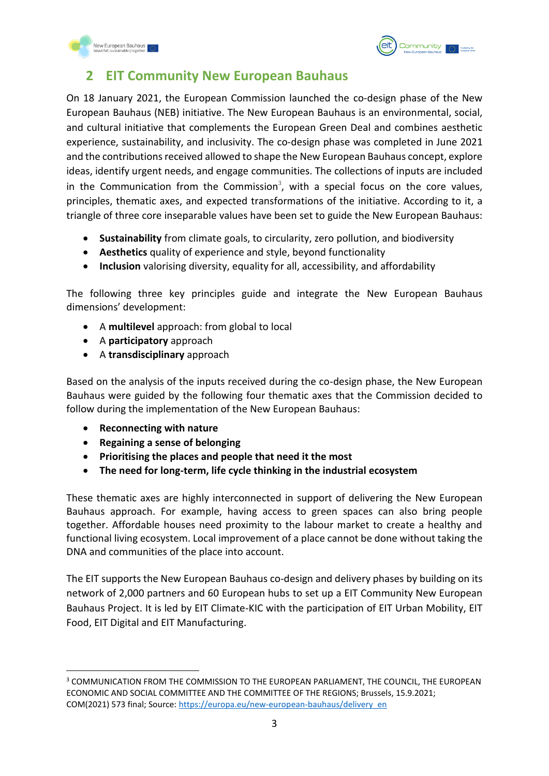



## <span id="page-3-0"></span>**2 EIT Community New European Bauhaus**

On 18 January 2021, the European Commission launched the co-design phase of the New European Bauhaus (NEB) initiative. The New European Bauhaus is an environmental, social, and cultural initiative that complements the European Green Deal and combines aesthetic experience, sustainability, and inclusivity. The co-design phase was completed in June 2021 and the contributions received allowed to shape the New European Bauhaus concept, explore ideas, identify urgent needs, and engage communities. The collections of inputs are included in the Communication from the Commission<sup>3</sup>, with a special focus on the core values, principles, thematic axes, and expected transformations of the initiative. According to it, a triangle of three core inseparable values have been set to guide the New European Bauhaus:

- **Sustainability** from climate goals, to circularity, zero pollution, and biodiversity
- **Aesthetics** quality of experience and style, beyond functionality
- **Inclusion** valorising diversity, equality for all, accessibility, and affordability

The following three key principles guide and integrate the New European Bauhaus dimensions' development:

- A **multilevel** approach: from global to local
- A **participatory** approach
- A **transdisciplinary** approach

Based on the analysis of the inputs received during the co-design phase, the New European Bauhaus were guided by the following four thematic axes that the Commission decided to follow during the implementation of the New European Bauhaus:

- **Reconnecting with nature**
- **Regaining a sense of belonging**
- **Prioritising the places and people that need it the most**
- **The need for long-term, life cycle thinking in the industrial ecosystem**

These thematic axes are highly interconnected in support of delivering the New European Bauhaus approach. For example, having access to green spaces can also bring people together. Affordable houses need proximity to the labour market to create a healthy and functional living ecosystem. Local improvement of a place cannot be done without taking the DNA and communities of the place into account.

The EIT supports the New European Bauhaus co-design and delivery phases by building on its network of 2,000 partners and 60 European hubs to set up a EIT Community New European Bauhaus Project. It is led by EIT Climate-KIC with the participation of EIT Urban Mobility, EIT Food, EIT Digital and EIT Manufacturing.

<sup>&</sup>lt;sup>3</sup> COMMUNICATION FROM THE COMMISSION TO THE EUROPEAN PARLIAMENT, THE COUNCIL, THE EUROPEAN ECONOMIC AND SOCIAL COMMITTEE AND THE COMMITTEE OF THE REGIONS; Brussels, 15.9.2021; COM(2021) 573 final; Source: [https://europa.eu/new-european-bauhaus/delivery\\_en](https://europa.eu/new-european-bauhaus/delivery_en)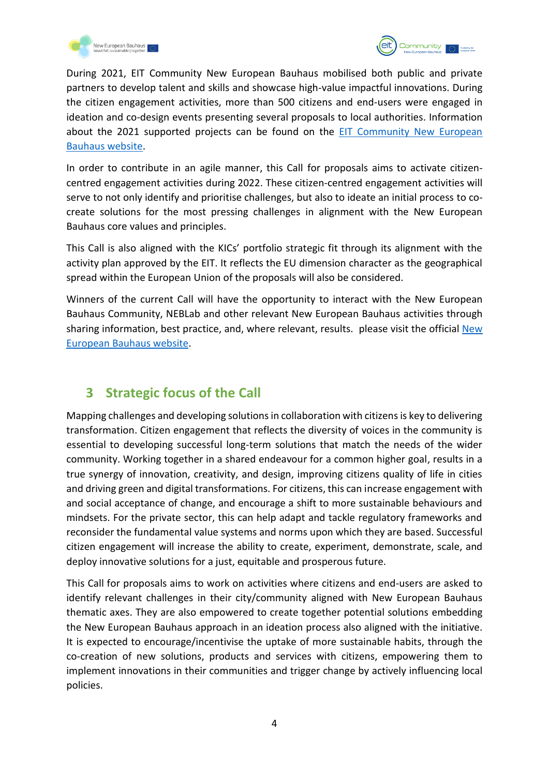



During 2021, EIT Community New European Bauhaus mobilised both public and private partners to develop talent and skills and showcase high-value impactful innovations. During the citizen engagement activities, more than 500 citizens and end-users were engaged in ideation and co-design events presenting several proposals to local authorities. Information about the 2021 supported projects can be found on the [EIT Community New European](https://engage.eiturbanmobility.eu/processes/new-european-bauhaus/f/36/)  [Bauhaus website.](https://engage.eiturbanmobility.eu/processes/new-european-bauhaus/f/36/)

In order to contribute in an agile manner, this Call for proposals aims to activate citizencentred engagement activities during 2022. These citizen-centred engagement activities will serve to not only identify and prioritise challenges, but also to ideate an initial process to cocreate solutions for the most pressing challenges in alignment with the New European Bauhaus core values and principles.

This Call is also aligned with the KICs' portfolio strategic fit through its alignment with the activity plan approved by the EIT. It reflects the EU dimension character as the geographical spread within the European Union of the proposals will also be considered.

Winners of the current Call will have the opportunity to interact with the New European Bauhaus Community, NEBLab and other relevant New European Bauhaus activities through sharing information, best practice, and, where relevant, results. please visit the official [New](https://europa.eu/new-european-bauhaus/index_en)  [European Bauhaus](https://europa.eu/new-european-bauhaus/index_en) website.

## <span id="page-4-0"></span>**3 Strategic focus of the Call**

Mapping challenges and developing solutions in collaboration with citizens is key to delivering transformation. Citizen engagement that reflects the diversity of voices in the community is essential to developing successful long-term solutions that match the needs of the wider community. Working together in a shared endeavour for a common higher goal, results in a true synergy of innovation, creativity, and design, improving citizens quality of life in cities and driving green and digital transformations. For citizens, this can increase engagement with and social acceptance of change, and encourage a shift to more sustainable behaviours and mindsets. For the private sector, this can help adapt and tackle regulatory frameworks and reconsider the fundamental value systems and norms upon which they are based. Successful citizen engagement will increase the ability to create, experiment, demonstrate, scale, and deploy innovative solutions for a just, equitable and prosperous future.

This Call for proposals aims to work on activities where citizens and end-users are asked to identify relevant challenges in their city/community aligned with New European Bauhaus thematic axes. They are also empowered to create together potential solutions embedding the New European Bauhaus approach in an ideation process also aligned with the initiative. It is expected to encourage/incentivise the uptake of more sustainable habits, through the co-creation of new solutions, products and services with citizens, empowering them to implement innovations in their communities and trigger change by actively influencing local policies.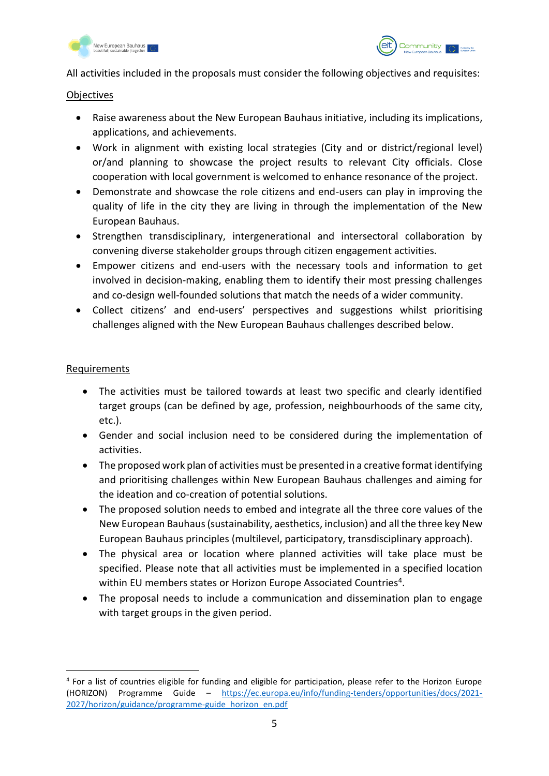



All activities included in the proposals must consider the following objectives and requisites:

#### **Objectives**

- Raise awareness about the New European Bauhaus initiative, including its implications, applications, and achievements.
- Work in alignment with existing local strategies (City and or district/regional level) or/and planning to showcase the project results to relevant City officials. Close cooperation with local government is welcomed to enhance resonance of the project.
- Demonstrate and showcase the role citizens and end-users can play in improving the quality of life in the city they are living in through the implementation of the New European Bauhaus.
- Strengthen transdisciplinary, intergenerational and intersectoral collaboration by convening diverse stakeholder groups through citizen engagement activities.
- Empower citizens and end-users with the necessary tools and information to get involved in decision-making, enabling them to identify their most pressing challenges and co-design well-founded solutions that match the needs of a wider community.
- Collect citizens' and end-users' perspectives and suggestions whilst prioritising challenges aligned with the New European Bauhaus challenges described below.

#### Requirements

- The activities must be tailored towards at least two specific and clearly identified target groups (can be defined by age, profession, neighbourhoods of the same city, etc.).
- Gender and social inclusion need to be considered during the implementation of activities.
- The proposed work plan of activities must be presented in a creative format identifying and prioritising challenges within New European Bauhaus challenges and aiming for the ideation and co-creation of potential solutions.
- The proposed solution needs to embed and integrate all the three core values of the New European Bauhaus (sustainability, aesthetics, inclusion) and all the three key New European Bauhaus principles (multilevel, participatory, transdisciplinary approach).
- The physical area or location where planned activities will take place must be specified. Please note that all activities must be implemented in a specified location within EU members states or Horizon Europe Associated Countries<sup>4</sup>.
- The proposal needs to include a communication and dissemination plan to engage with target groups in the given period.

<sup>&</sup>lt;sup>4</sup> For a list of countries eligible for funding and eligible for participation, please refer to the Horizon Europe (HORIZON) Programme Guide – [https://ec.europa.eu/info/funding-tenders/opportunities/docs/2021-](https://ec.europa.eu/info/funding-tenders/opportunities/docs/2021-2027/horizon/guidance/programme-guide_horizon_en.pdf) [2027/horizon/guidance/programme-guide\\_horizon\\_en.pdf](https://ec.europa.eu/info/funding-tenders/opportunities/docs/2021-2027/horizon/guidance/programme-guide_horizon_en.pdf)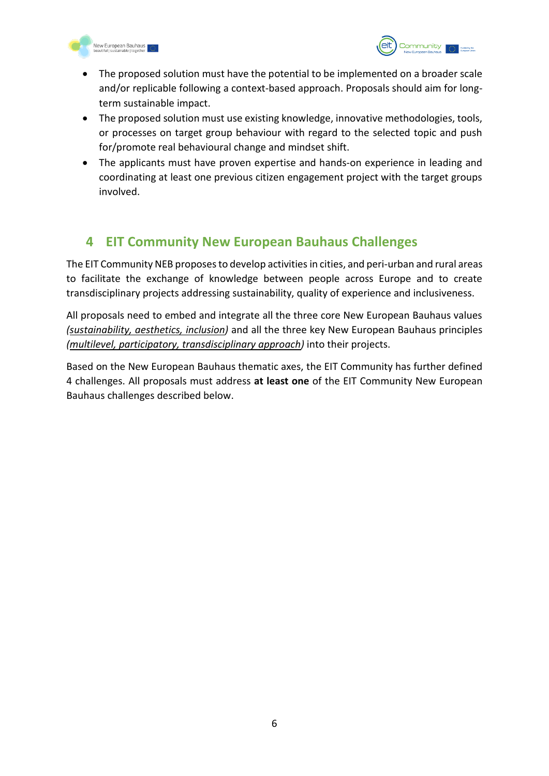



- The proposed solution must have the potential to be implemented on a broader scale and/or replicable following a context-based approach. Proposals should aim for longterm sustainable impact.
- The proposed solution must use existing knowledge, innovative methodologies, tools, or processes on target group behaviour with regard to the selected topic and push for/promote real behavioural change and mindset shift.
- The applicants must have proven expertise and hands-on experience in leading and coordinating at least one previous citizen engagement project with the target groups involved.

## <span id="page-6-0"></span>**4 EIT Community New European Bauhaus Challenges**

The EIT Community NEB proposes to develop activities in cities, and peri-urban and rural areas to facilitate the exchange of knowledge between people across Europe and to create transdisciplinary projects addressing sustainability, quality of experience and inclusiveness.

All proposals need to embed and integrate all the three core New European Bauhaus values *(sustainability, aesthetics, inclusion)* and all the three key New European Bauhaus principles *(multilevel, participatory, transdisciplinary approach)* into their projects.

Based on the New European Bauhaus thematic axes, the EIT Community has further defined 4 challenges. All proposals must address **at least one** of the EIT Community New European Bauhaus challenges described below.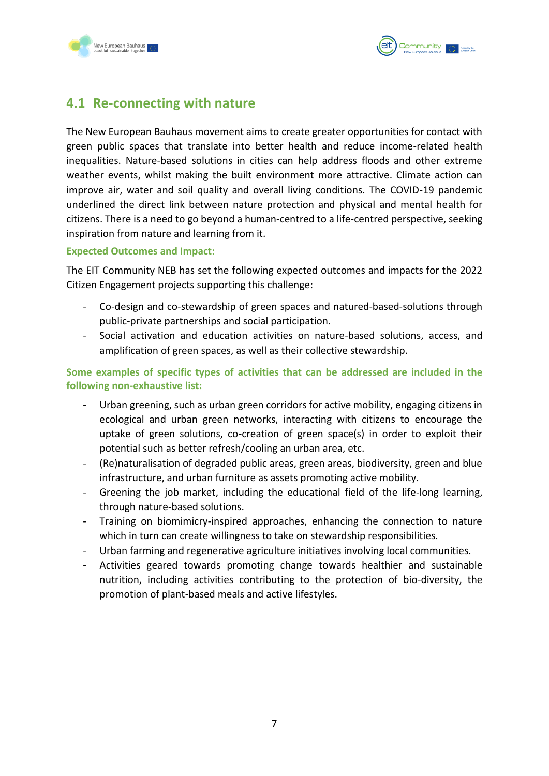



### <span id="page-7-0"></span>**4.1 Re-connecting with nature**

The New European Bauhaus movement aims to create greater opportunities for contact with green public spaces that translate into better health and reduce income-related health inequalities. Nature-based solutions in cities can help address floods and other extreme weather events, whilst making the built environment more attractive. Climate action can improve air, water and soil quality and overall living conditions. The COVID-19 pandemic underlined the direct link between nature protection and physical and mental health for citizens. There is a need to go beyond a human-centred to a life-centred perspective, seeking inspiration from nature and learning from it.

#### **Expected Outcomes and Impact:**

The EIT Community NEB has set the following expected outcomes and impacts for the 2022 Citizen Engagement projects supporting this challenge:

- Co-design and co-stewardship of green spaces and natured-based-solutions through public-private partnerships and social participation.
- Social activation and education activities on nature-based solutions, access, and amplification of green spaces, as well as their collective stewardship.

**Some examples of specific types of activities that can be addressed are included in the following non-exhaustive list:**

- Urban greening, such as urban green corridors for active mobility, engaging citizens in ecological and urban green networks, interacting with citizens to encourage the uptake of green solutions, co-creation of green space(s) in order to exploit their potential such as better refresh/cooling an urban area, etc.
- (Re)naturalisation of degraded public areas, green areas, biodiversity, green and blue infrastructure, and urban furniture as assets promoting active mobility.
- Greening the job market, including the educational field of the life-long learning, through nature-based solutions.
- Training on biomimicry-inspired approaches, enhancing the connection to nature which in turn can create willingness to take on stewardship responsibilities.
- Urban farming and regenerative agriculture initiatives involving local communities.
- Activities geared towards promoting change towards healthier and sustainable nutrition, including activities contributing to the protection of bio-diversity, the promotion of plant-based meals and active lifestyles.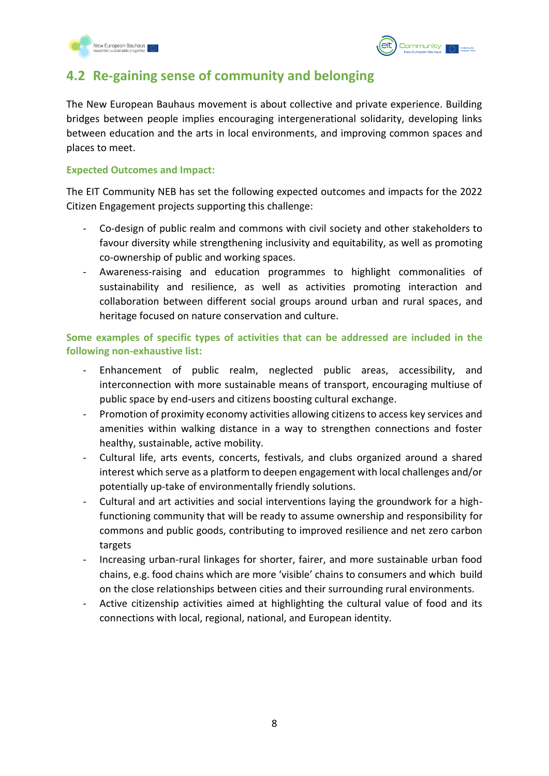



## <span id="page-8-0"></span>**4.2 Re-gaining sense of community and belonging**

The New European Bauhaus movement is about collective and private experience. Building bridges between people implies encouraging intergenerational solidarity, developing links between education and the arts in local environments, and improving common spaces and places to meet.

#### **Expected Outcomes and Impact:**

The EIT Community NEB has set the following expected outcomes and impacts for the 2022 Citizen Engagement projects supporting this challenge:

- Co-design of public realm and commons with civil society and other stakeholders to favour diversity while strengthening inclusivity and equitability, as well as promoting co-ownership of public and working spaces.
- Awareness-raising and education programmes to highlight commonalities of sustainability and resilience, as well as activities promoting interaction and collaboration between different social groups around urban and rural spaces, and heritage focused on nature conservation and culture.

**Some examples of specific types of activities that can be addressed are included in the following non-exhaustive list:**

- Enhancement of public realm, neglected public areas, accessibility, and interconnection with more sustainable means of transport, encouraging multiuse of public space by end-users and citizens boosting cultural exchange.
- Promotion of proximity economy activities allowing citizens to access key services and amenities within walking distance in a way to strengthen connections and foster healthy, sustainable, active mobility.
- Cultural life, arts events, concerts, festivals, and clubs organized around a shared interest which serve as a platform to deepen engagement with local challenges and/or potentially up-take of environmentally friendly solutions.
- Cultural and art activities and social interventions laying the groundwork for a highfunctioning community that will be ready to assume ownership and responsibility for commons and public goods, contributing to improved resilience and net zero carbon targets
- Increasing urban-rural linkages for shorter, fairer, and more sustainable urban food chains, e.g. food chains which are more 'visible' chains to consumers and which build on the close relationships between cities and their surrounding rural environments.
- Active citizenship activities aimed at highlighting the cultural value of food and its connections with local, regional, national, and European identity.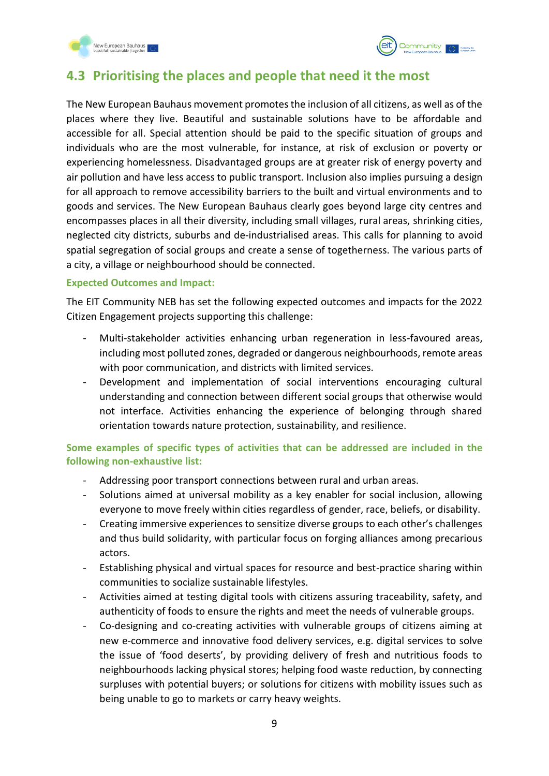



## <span id="page-9-0"></span>**4.3 Prioritising the places and people that need it the most**

The New European Bauhaus movement promotes the inclusion of all citizens, as well as of the places where they live. Beautiful and sustainable solutions have to be affordable and accessible for all. Special attention should be paid to the specific situation of groups and individuals who are the most vulnerable, for instance, at risk of exclusion or poverty or experiencing homelessness. Disadvantaged groups are at greater risk of energy poverty and air pollution and have less access to public transport. Inclusion also implies pursuing a design for all approach to remove accessibility barriers to the built and virtual environments and to goods and services. The New European Bauhaus clearly goes beyond large city centres and encompasses places in all their diversity, including small villages, rural areas, shrinking cities, neglected city districts, suburbs and de-industrialised areas. This calls for planning to avoid spatial segregation of social groups and create a sense of togetherness. The various parts of a city, a village or neighbourhood should be connected.

#### **Expected Outcomes and Impact:**

The EIT Community NEB has set the following expected outcomes and impacts for the 2022 Citizen Engagement projects supporting this challenge:

- Multi-stakeholder activities enhancing urban regeneration in less-favoured areas, including most polluted zones, degraded or dangerous neighbourhoods, remote areas with poor communication, and districts with limited services.
- Development and implementation of social interventions encouraging cultural understanding and connection between different social groups that otherwise would not interface. Activities enhancing the experience of belonging through shared orientation towards nature protection, sustainability, and resilience.

#### **Some examples of specific types of activities that can be addressed are included in the following non-exhaustive list:**

- Addressing poor transport connections between rural and urban areas.
- Solutions aimed at universal mobility as a key enabler for social inclusion, allowing everyone to move freely within cities regardless of gender, race, beliefs, or disability.
- Creating immersive experiences to sensitize diverse groups to each other's challenges and thus build solidarity, with particular focus on forging alliances among precarious actors.
- Establishing physical and virtual spaces for resource and best-practice sharing within communities to socialize sustainable lifestyles.
- Activities aimed at testing digital tools with citizens assuring traceability, safety, and authenticity of foods to ensure the rights and meet the needs of vulnerable groups.
- Co-designing and co-creating activities with vulnerable groups of citizens aiming at new e-commerce and innovative food delivery services, e.g. digital services to solve the issue of 'food deserts', by providing delivery of fresh and nutritious foods to neighbourhoods lacking physical stores; helping food waste reduction, by connecting surpluses with potential buyers; or solutions for citizens with mobility issues such as being unable to go to markets or carry heavy weights.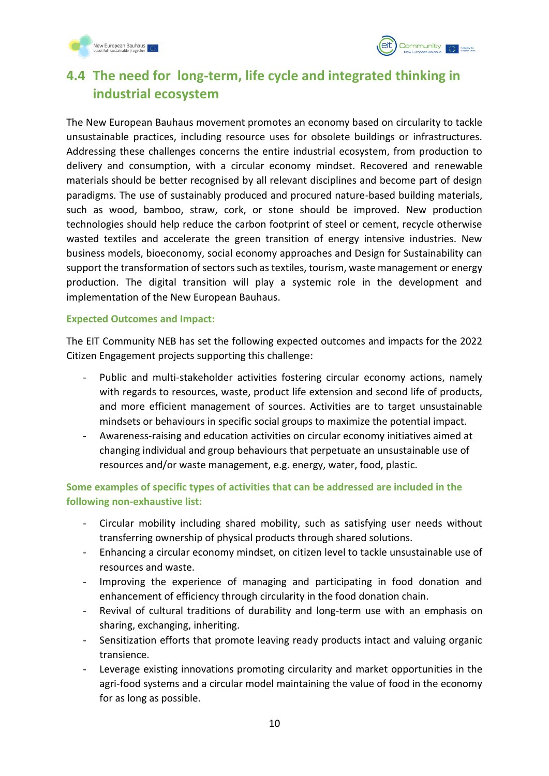



## <span id="page-10-0"></span>**4.4 The need for long-term, life cycle and integrated thinking in industrial ecosystem**

The New European Bauhaus movement promotes an economy based on circularity to tackle unsustainable practices, including resource uses for obsolete buildings or infrastructures. Addressing these challenges concerns the entire industrial ecosystem, from production to delivery and consumption, with a circular economy mindset. Recovered and renewable materials should be better recognised by all relevant disciplines and become part of design paradigms. The use of sustainably produced and procured nature-based building materials, such as wood, bamboo, straw, cork, or stone should be improved. New production technologies should help reduce the carbon footprint of steel or cement, recycle otherwise wasted textiles and accelerate the green transition of energy intensive industries. New business models, bioeconomy, social economy approaches and Design for Sustainability can support the transformation of sectors such as textiles, tourism, waste management or energy production. The digital transition will play a systemic role in the development and implementation of the New European Bauhaus.

#### **Expected Outcomes and Impact:**

The EIT Community NEB has set the following expected outcomes and impacts for the 2022 Citizen Engagement projects supporting this challenge:

- Public and multi-stakeholder activities fostering circular economy actions, namely with regards to resources, waste, product life extension and second life of products, and more efficient management of sources. Activities are to target unsustainable mindsets or behaviours in specific social groups to maximize the potential impact.
- Awareness-raising and education activities on circular economy initiatives aimed at changing individual and group behaviours that perpetuate an unsustainable use of resources and/or waste management, e.g. energy, water, food, plastic.

**Some examples of specific types of activities that can be addressed are included in the following non-exhaustive list:**

- Circular mobility including shared mobility, such as satisfying user needs without transferring ownership of physical products through shared solutions.
- Enhancing a circular economy mindset, on citizen level to tackle unsustainable use of resources and waste.
- Improving the experience of managing and participating in food donation and enhancement of efficiency through circularity in the food donation chain.
- Revival of cultural traditions of durability and long-term use with an emphasis on sharing, exchanging, inheriting.
- Sensitization efforts that promote leaving ready products intact and valuing organic transience.
- Leverage existing innovations promoting circularity and market opportunities in the agri-food systems and a circular model maintaining the value of food in the economy for as long as possible.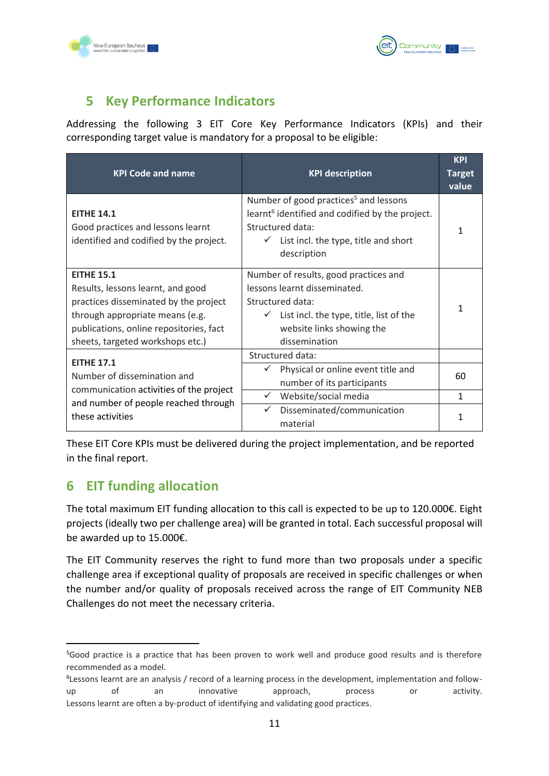



## <span id="page-11-0"></span>**5 Key Performance Indicators**

Addressing the following 3 EIT Core Key Performance Indicators (KPIs) and their corresponding target value is mandatory for a proposal to be eligible:

| <b>KPI Code and name</b>                                                                                                                                                                                          | <b>KPI description</b>                                                                                                                                                                                   | <b>KPI</b><br><b>Target</b><br>value |
|-------------------------------------------------------------------------------------------------------------------------------------------------------------------------------------------------------------------|----------------------------------------------------------------------------------------------------------------------------------------------------------------------------------------------------------|--------------------------------------|
| <b>EITHE 14.1</b><br>Good practices and lessons learnt<br>identified and codified by the project.                                                                                                                 | Number of good practices <sup>5</sup> and lessons<br>learnt <sup>6</sup> identified and codified by the project.<br>Structured data:<br>$\checkmark$ List incl. the type, title and short<br>description | 1                                    |
| <b>EITHE 15.1</b><br>Results, lessons learnt, and good<br>practices disseminated by the project<br>through appropriate means (e.g.<br>publications, online repositories, fact<br>sheets, targeted workshops etc.) | Number of results, good practices and<br>lessons learnt disseminated.<br>Structured data:<br>$\checkmark$ List incl. the type, title, list of the<br>website links showing the<br>dissemination          |                                      |
| <b>EITHE 17.1</b>                                                                                                                                                                                                 | Structured data:                                                                                                                                                                                         |                                      |
| Number of dissemination and                                                                                                                                                                                       | Physical or online event title and<br>✓<br>number of its participants                                                                                                                                    | 60                                   |
| communication activities of the project<br>and number of people reached through                                                                                                                                   | Website/social media                                                                                                                                                                                     | $\mathbf{1}$                         |
| these activities                                                                                                                                                                                                  | ✓<br>Disseminated/communication<br>material                                                                                                                                                              |                                      |

These EIT Core KPIs must be delivered during the project implementation, and be reported in the final report.

## <span id="page-11-1"></span>**6 EIT funding allocation**

The total maximum EIT funding allocation to this call is expected to be up to 120.000€. Eight projects (ideally two per challenge area) will be granted in total. Each successful proposal will be awarded up to 15.000€.

The EIT Community reserves the right to fund more than two proposals under a specific challenge area if exceptional quality of proposals are received in specific challenges or when the number and/or quality of proposals received across the range of EIT Community NEB Challenges do not meet the necessary criteria.

<sup>5</sup>Good practice is a practice that has been proven to work well and produce good results and is therefore recommended as a model.

<sup>&</sup>lt;sup>6</sup>Lessons learnt are an analysis / record of a learning process in the development, implementation and followup of an innovative approach, process or activity. Lessons learnt are often a by-product of identifying and validating good practices.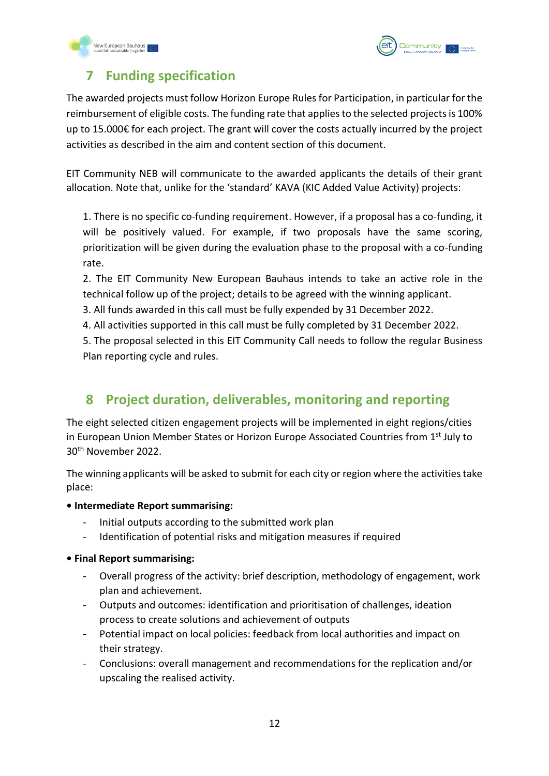



## <span id="page-12-0"></span>**7 Funding specification**

The awarded projects must follow Horizon Europe Rules for Participation, in particular for the reimbursement of eligible costs. The funding rate that applies to the selected projects is 100% up to 15.000€ for each project. The grant will cover the costs actually incurred by the project activities as described in the aim and content section of this document.

EIT Community NEB will communicate to the awarded applicants the details of their grant allocation. Note that, unlike for the 'standard' KAVA (KIC Added Value Activity) projects:

1. There is no specific co-funding requirement. However, if a proposal has a co-funding, it will be positively valued. For example, if two proposals have the same scoring, prioritization will be given during the evaluation phase to the proposal with a co-funding rate.

2. The EIT Community New European Bauhaus intends to take an active role in the technical follow up of the project; details to be agreed with the winning applicant.

- 3. All funds awarded in this call must be fully expended by 31 December 2022.
- 4. All activities supported in this call must be fully completed by 31 December 2022.

5. The proposal selected in this EIT Community Call needs to follow the regular Business Plan reporting cycle and rules.

## <span id="page-12-1"></span>**8 Project duration, deliverables, monitoring and reporting**

The eight selected citizen engagement projects will be implemented in eight regions/cities in European Union Member States or Horizon Europe Associated Countries from 1<sup>st</sup> July to 30th November 2022.

The winning applicants will be asked to submit for each city or region where the activities take place:

- **Intermediate Report summarising:**
	- Initial outputs according to the submitted work plan
	- Identification of potential risks and mitigation measures if required

#### **• Final Report summarising:**

- Overall progress of the activity: brief description, methodology of engagement, work plan and achievement.
- Outputs and outcomes: identification and prioritisation of challenges, ideation process to create solutions and achievement of outputs
- Potential impact on local policies: feedback from local authorities and impact on their strategy.
- Conclusions: overall management and recommendations for the replication and/or upscaling the realised activity.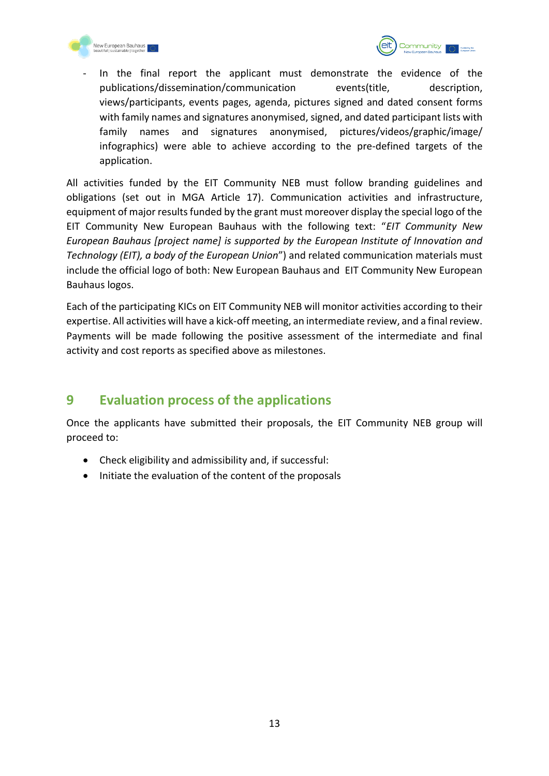



In the final report the applicant must demonstrate the evidence of the publications/dissemination/communication events(title, description, views/participants, events pages, agenda, pictures signed and dated consent forms with family names and signatures anonymised, signed, and dated participant lists with family names and signatures anonymised, pictures/videos/graphic/image/ infographics) were able to achieve according to the pre-defined targets of the application.

All activities funded by the EIT Community NEB must follow branding guidelines and obligations (set out in MGA Article 17). Communication activities and infrastructure, equipment of major results funded by the grant must moreover display the special logo of the EIT Community New European Bauhaus with the following text: "*EIT Community New European Bauhaus [project name] is supported by the European Institute of Innovation and Technology (EIT), a body of the European Union*") and related communication materials must include the official logo of both: New European Bauhaus and EIT Community New European Bauhaus logos.

Each of the participating KICs on EIT Community NEB will monitor activities according to their expertise. All activities will have a kick-off meeting, an intermediate review, and a final review. Payments will be made following the positive assessment of the intermediate and final activity and cost reports as specified above as milestones.

## <span id="page-13-0"></span>**9 Evaluation process of the applications**

Once the applicants have submitted their proposals, the EIT Community NEB group will proceed to:

- Check eligibility and admissibility and, if successful:
- Initiate the evaluation of the content of the proposals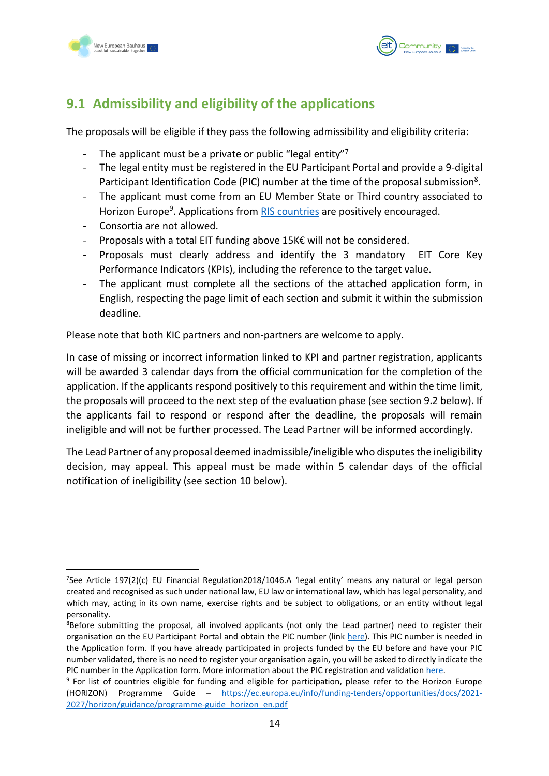



## <span id="page-14-0"></span>**9.1 Admissibility and eligibility of the applications**

The proposals will be eligible if they pass the following admissibility and eligibility criteria:

- The applicant must be a private or public "legal entity" $7$
- The legal entity must be registered in the EU Participant Portal and provide a 9-digital Participant Identification Code (PIC) number at the time of the proposal submission<sup>8</sup>.
- The applicant must come from an EU Member State or Third country associated to Horizon Europe<sup>9</sup>. Applications from **RIS countries** are positively encouraged.
- Consortia are not allowed.
- Proposals with a total EIT funding above 15K€ will not be considered.
- Proposals must clearly address and identify the 3 mandatory EIT Core Key Performance Indicators (KPIs), including the reference to the target value.
- The applicant must complete all the sections of the attached application form, in English, respecting the page limit of each section and submit it within the submission deadline.

Please note that both KIC partners and non-partners are welcome to apply.

In case of missing or incorrect information linked to KPI and partner registration, applicants will be awarded 3 calendar days from the official communication for the completion of the application. If the applicants respond positively to this requirement and within the time limit, the proposals will proceed to the next step of the evaluation phase (see section 9.2 below). If the applicants fail to respond or respond after the deadline, the proposals will remain ineligible and will not be further processed. The Lead Partner will be informed accordingly.

The Lead Partner of any proposal deemed inadmissible/ineligible who disputes the ineligibility decision, may appeal. This appeal must be made within 5 calendar days of the official notification of ineligibility (see section 10 below).

<sup>7</sup> See Article 197(2)(c) EU Financial Regulation2018/1046.A 'legal entity' means any natural or legal person created and recognised as such under national law, EU law or international law, which has legal personality, and which may, acting in its own name, exercise rights and be subject to obligations, or an entity without legal personality.

<sup>&</sup>lt;sup>8</sup>Before submitting the proposal, all involved applicants (not only the Lead partner) need to register their organisation on the EU Participant Portal and obtain the PIC number (link [here\)](https://ec.europa.eu/info/funding-tenders/opportunities/portal/screen/how-to-participate/participant-register). This PIC number is needed in the Application form. If you have already participated in projects funded by the EU before and have your PIC number validated, there is no need to register your organisation again, you will be asked to directly indicate the PIC number in the Application form. More information about the PIC registration and validation [here.](https://webgate.ec.europa.eu/funding-tenders-opportunities/display/OM/Registration+and+validation+of+your+organisation)

<sup>&</sup>lt;sup>9</sup> For list of countries eligible for funding and eligible for participation, please refer to the Horizon Europe (HORIZON) Programme Guide – [https://ec.europa.eu/info/funding-tenders/opportunities/docs/2021-](https://ec.europa.eu/info/funding-tenders/opportunities/docs/2021-2027/horizon/guidance/programme-guide_horizon_en.pdf) [2027/horizon/guidance/programme-guide\\_horizon\\_en.pdf](https://ec.europa.eu/info/funding-tenders/opportunities/docs/2021-2027/horizon/guidance/programme-guide_horizon_en.pdf)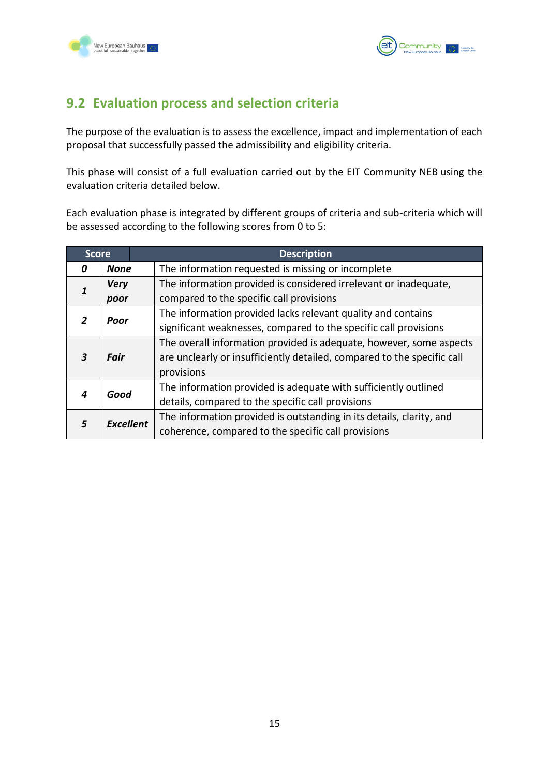



## <span id="page-15-0"></span>**9.2 Evaluation process and selection criteria**

The purpose of the evaluation is to assess the excellence, impact and implementation of each proposal that successfully passed the admissibility and eligibility criteria.

This phase will consist of a full evaluation carried out by the EIT Community NEB using the evaluation criteria detailed below.

Each evaluation phase is integrated by different groups of criteria and sub-criteria which will be assessed according to the following scores from 0 to 5:

| <b>Score</b> |                  | <b>Description</b>                                                      |
|--------------|------------------|-------------------------------------------------------------------------|
| 0            | <b>None</b>      | The information requested is missing or incomplete                      |
| 1            | <b>Very</b>      | The information provided is considered irrelevant or inadequate,        |
|              | poor             | compared to the specific call provisions                                |
|              | Poor             | The information provided lacks relevant quality and contains            |
|              |                  | significant weaknesses, compared to the specific call provisions        |
|              |                  | The overall information provided is adequate, however, some aspects     |
| 3            | Fair             | are unclearly or insufficiently detailed, compared to the specific call |
|              |                  | provisions                                                              |
| 4            | Good             | The information provided is adequate with sufficiently outlined         |
|              |                  | details, compared to the specific call provisions                       |
| 5            | <b>Excellent</b> | The information provided is outstanding in its details, clarity, and    |
|              |                  | coherence, compared to the specific call provisions                     |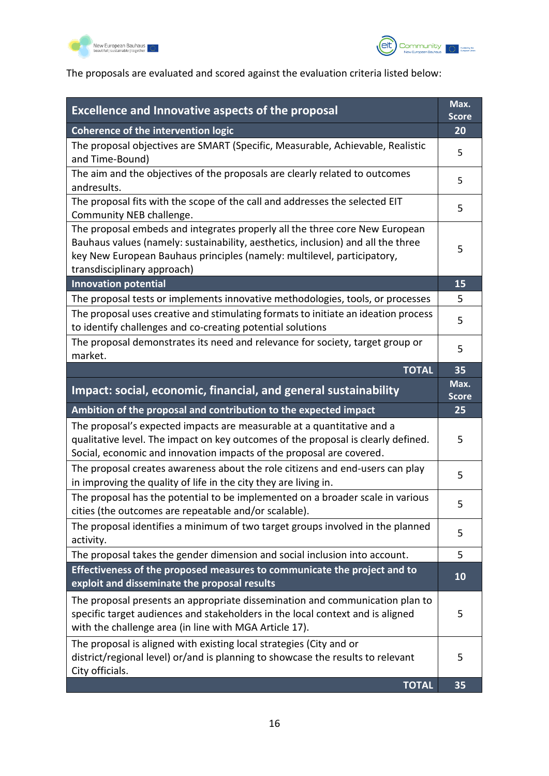



## The proposals are evaluated and scored against the evaluation criteria listed below:

| <b>Excellence and Innovative aspects of the proposal</b>                                                                                                                                                                                                                  | Max.<br><b>Score</b> |
|---------------------------------------------------------------------------------------------------------------------------------------------------------------------------------------------------------------------------------------------------------------------------|----------------------|
| <b>Coherence of the intervention logic</b>                                                                                                                                                                                                                                | 20                   |
| The proposal objectives are SMART (Specific, Measurable, Achievable, Realistic<br>and Time-Bound)                                                                                                                                                                         | 5                    |
| The aim and the objectives of the proposals are clearly related to outcomes<br>andresults.                                                                                                                                                                                | 5                    |
| The proposal fits with the scope of the call and addresses the selected EIT<br>Community NEB challenge.                                                                                                                                                                   | 5                    |
| The proposal embeds and integrates properly all the three core New European<br>Bauhaus values (namely: sustainability, aesthetics, inclusion) and all the three<br>key New European Bauhaus principles (namely: multilevel, participatory,<br>transdisciplinary approach) | 5                    |
| <b>Innovation potential</b>                                                                                                                                                                                                                                               | 15                   |
| The proposal tests or implements innovative methodologies, tools, or processes                                                                                                                                                                                            | 5                    |
| The proposal uses creative and stimulating formats to initiate an ideation process<br>to identify challenges and co-creating potential solutions                                                                                                                          | 5                    |
| The proposal demonstrates its need and relevance for society, target group or<br>market.                                                                                                                                                                                  | 5                    |
| <b>TOTAL</b>                                                                                                                                                                                                                                                              | 35                   |
| Impact: social, economic, financial, and general sustainability                                                                                                                                                                                                           | Max.<br><b>Score</b> |
| Ambition of the proposal and contribution to the expected impact                                                                                                                                                                                                          | 25                   |
| The proposal's expected impacts are measurable at a quantitative and a<br>qualitative level. The impact on key outcomes of the proposal is clearly defined.                                                                                                               | 5                    |
| Social, economic and innovation impacts of the proposal are covered.                                                                                                                                                                                                      |                      |
| The proposal creates awareness about the role citizens and end-users can play<br>in improving the quality of life in the city they are living in.                                                                                                                         | 5                    |
| The proposal has the potential to be implemented on a broader scale in various<br>cities (the outcomes are repeatable and/or scalable).                                                                                                                                   | 5                    |
| The proposal identifies a minimum of two target groups involved in the planned<br>activity.                                                                                                                                                                               | 5                    |
| The proposal takes the gender dimension and social inclusion into account.                                                                                                                                                                                                | 5                    |
| Effectiveness of the proposed measures to communicate the project and to<br>exploit and disseminate the proposal results                                                                                                                                                  | 10                   |
| The proposal presents an appropriate dissemination and communication plan to<br>specific target audiences and stakeholders in the local context and is aligned<br>with the challenge area (in line with MGA Article 17).                                                  | 5                    |
| The proposal is aligned with existing local strategies (City and or<br>district/regional level) or/and is planning to showcase the results to relevant<br>City officials.                                                                                                 | 5                    |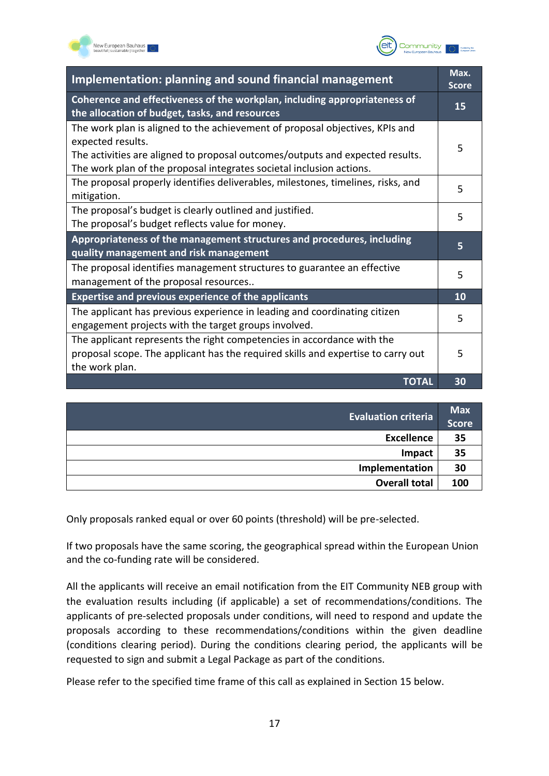



| Implementation: planning and sound financial management                                                                                                                                                                                                    |    |
|------------------------------------------------------------------------------------------------------------------------------------------------------------------------------------------------------------------------------------------------------------|----|
| Coherence and effectiveness of the workplan, including appropriateness of<br>the allocation of budget, tasks, and resources                                                                                                                                | 15 |
| The work plan is aligned to the achievement of proposal objectives, KPIs and<br>expected results.<br>The activities are aligned to proposal outcomes/outputs and expected results.<br>The work plan of the proposal integrates societal inclusion actions. | 5  |
| The proposal properly identifies deliverables, milestones, timelines, risks, and<br>mitigation.                                                                                                                                                            | 5  |
| The proposal's budget is clearly outlined and justified.<br>The proposal's budget reflects value for money.                                                                                                                                                | 5  |
| Appropriateness of the management structures and procedures, including<br>quality management and risk management                                                                                                                                           | 5  |
| The proposal identifies management structures to guarantee an effective<br>management of the proposal resources                                                                                                                                            | 5  |
| <b>Expertise and previous experience of the applicants</b>                                                                                                                                                                                                 | 10 |
| The applicant has previous experience in leading and coordinating citizen<br>engagement projects with the target groups involved.                                                                                                                          | 5  |
| The applicant represents the right competencies in accordance with the<br>proposal scope. The applicant has the required skills and expertise to carry out<br>the work plan.                                                                               | 5  |
| <b>TOTAL</b>                                                                                                                                                                                                                                               | 30 |

| <b>Evaluation criteria</b> | <b>Max</b><br><b>Score</b> |
|----------------------------|----------------------------|
| <b>Excellence</b>          | 35                         |
| Impact                     | 35                         |
| Implementation             | 30                         |
| <b>Overall total</b>       | 100                        |

Only proposals ranked equal or over 60 points (threshold) will be pre-selected.

If two proposals have the same scoring, the geographical spread within the European Union and the co-funding rate will be considered.

All the applicants will receive an email notification from the EIT Community NEB group with the evaluation results including (if applicable) a set of recommendations/conditions. The applicants of pre-selected proposals under conditions, will need to respond and update the proposals according to these recommendations/conditions within the given deadline (conditions clearing period). During the conditions clearing period, the applicants will be requested to sign and submit a Legal Package as part of the conditions.

Please refer to the specified time frame of this call as explained in Section 15 below.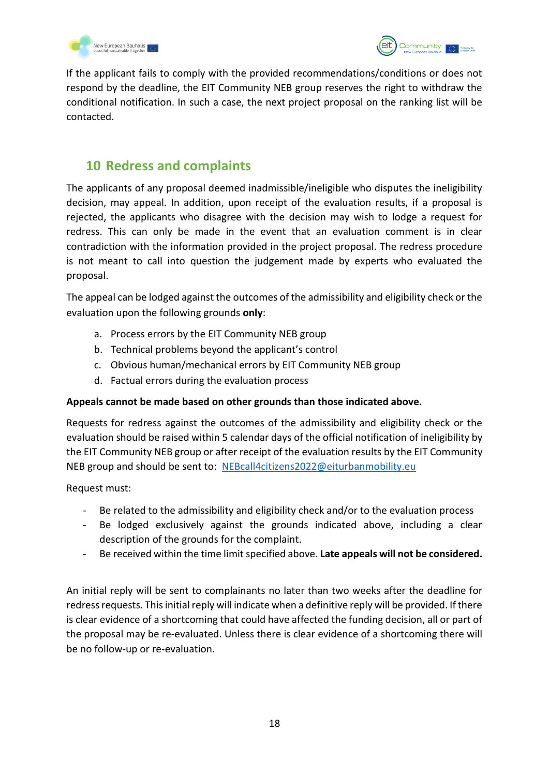



If the applicant fails to comply with the provided recommendations/conditions or does not respond by the deadline, the EIT Community NEB group reserves the right to withdraw the conditional notification. In such a case, the next project proposal on the ranking list will be contacted.

## <span id="page-18-0"></span>**10 Redress and complaints**

The applicants of any proposal deemed inadmissible/ineligible who disputes the ineligibility decision, may appeal. In addition, upon receipt of the evaluation results, if a proposal is rejected, the applicants who disagree with the decision may wish to lodge a request for redress. This can only be made in the event that an evaluation comment is in clear contradiction with the information provided in the project proposal. The redress procedure is not meant to call into question the judgement made by experts who evaluated the proposal.

The appeal can be lodged against the outcomes of the admissibility and eligibility check or the evaluation upon the following grounds **only**:

- a. Process errors by the EIT Community NEB group
- b. Technical problems beyond the applicant's control
- c. Obvious human/mechanical errors by EIT Community NEB group
- d. Factual errors during the evaluation process

#### **Appeals cannot be made based on other grounds than those indicated above.**

Requests for redress against the outcomes of the admissibility and eligibility check or the evaluation should be raised within 5 calendar days of the official notification of ineligibility by the EIT Community NEB group or after receipt of the evaluation results by the EIT Community NEB group and should be sent to: [NEBcall4citizens2022@eiturbanmobility.eu](mailto:NEBcall4citizens2022@eiturbanmobility.eu)

Request must:

- Be related to the admissibility and eligibility check and/or to the evaluation process
- Be lodged exclusively against the grounds indicated above, including a clear description of the grounds for the complaint.
- Be received within the time limit specified above. **Late appeals will not be considered.**

An initial reply will be sent to complainants no later than two weeks after the deadline for redress requests. This initial reply will indicate when a definitive reply will be provided. If there is clear evidence of a shortcoming that could have affected the funding decision, all or part of the proposal may be re-evaluated. Unless there is clear evidence of a shortcoming there will be no follow-up or re-evaluation.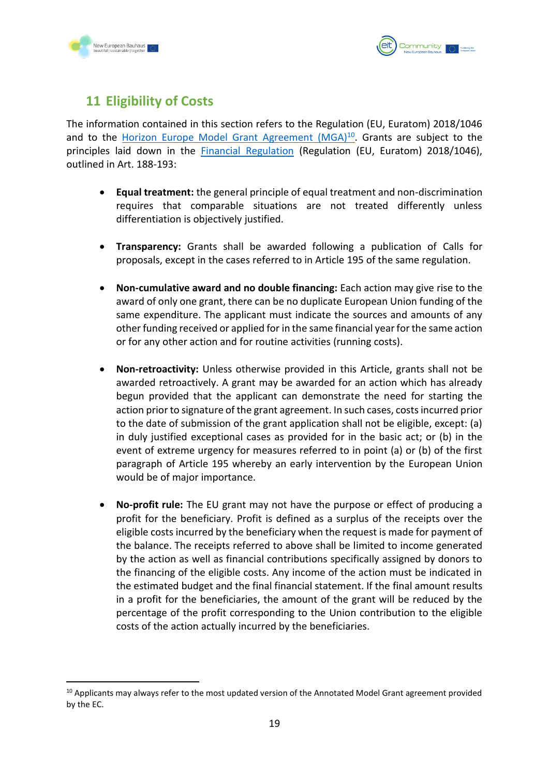



## <span id="page-19-0"></span>**11 Eligibility of Costs**

The information contained in this section refers to the Regulation (EU, Euratom) 2018/1046 and to the Horizon Europe Model Grant Agreement  $(MGA)^{10}$ . Grants are subject to the principles laid down in the **[Financial Regulation](https://publications.europa.eu/en/publication-detail/-/publication/e9488da5-d66f-11e8-9424-01aa75ed71a1/language-en/format-PDF/source-86606884)** (Regulation (EU, Euratom) 2018/1046), outlined in Art. 188-193:

- **Equal treatment:** the general principle of equal treatment and non-discrimination requires that comparable situations are not treated differently unless differentiation is objectively justified.
- **Transparency:** Grants shall be awarded following a publication of Calls for proposals, except in the cases referred to in Article 195 of the same regulation.
- **Non-cumulative award and no double financing:** Each action may give rise to the award of only one grant, there can be no duplicate European Union funding of the same expenditure. The applicant must indicate the sources and amounts of any other funding received or applied for in the same financial year for the same action or for any other action and for routine activities (running costs).
- **Non-retroactivity:** Unless otherwise provided in this Article, grants shall not be awarded retroactively. A grant may be awarded for an action which has already begun provided that the applicant can demonstrate the need for starting the action prior to signature of the grant agreement. In such cases, costs incurred prior to the date of submission of the grant application shall not be eligible, except: (a) in duly justified exceptional cases as provided for in the basic act; or (b) in the event of extreme urgency for measures referred to in point (a) or (b) of the first paragraph of Article 195 whereby an early intervention by the European Union would be of major importance.
- **No-profit rule:** The EU grant may not have the purpose or effect of producing a profit for the beneficiary. Profit is defined as a surplus of the receipts over the eligible costs incurred by the beneficiary when the request is made for payment of the balance. The receipts referred to above shall be limited to income generated by the action as well as financial contributions specifically assigned by donors to the financing of the eligible costs. Any income of the action must be indicated in the estimated budget and the final financial statement. If the final amount results in a profit for the beneficiaries, the amount of the grant will be reduced by the percentage of the profit corresponding to the Union contribution to the eligible costs of the action actually incurred by the beneficiaries.

<sup>&</sup>lt;sup>10</sup> Applicants may always refer to the most updated version of the Annotated Model Grant agreement provided by the EC.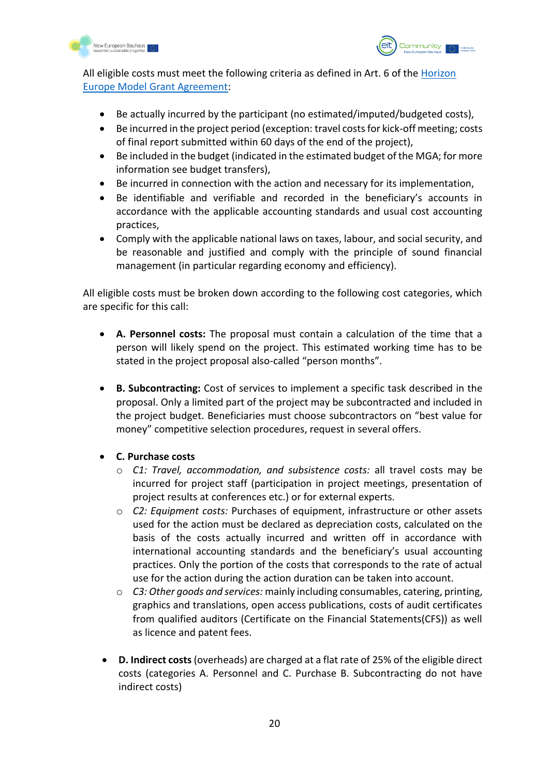



All eligible costs must meet the following criteria as defined in Art. 6 of the [Horizon](https://ec.europa.eu/info/funding-tenders/opportunities/docs/2021-2027/horizon/agr-contr/unit-mga_he_en.pdf)  [Europe Model Grant Agreement:](https://ec.europa.eu/info/funding-tenders/opportunities/docs/2021-2027/horizon/agr-contr/unit-mga_he_en.pdf)

- Be actually incurred by the participant (no estimated/imputed/budgeted costs),
- Be incurred in the project period (exception: travel costs for kick-off meeting; costs of final report submitted within 60 days of the end of the project),
- Be included in the budget (indicated in the estimated budget of the MGA; for more information see budget transfers),
- Be incurred in connection with the action and necessary for its implementation,
- Be identifiable and verifiable and recorded in the beneficiary's accounts in accordance with the applicable accounting standards and usual cost accounting practices,
- Comply with the applicable national laws on taxes, labour, and social security, and be reasonable and justified and comply with the principle of sound financial management (in particular regarding economy and efficiency).

All eligible costs must be broken down according to the following cost categories, which are specific for this call:

- **A. Personnel costs:** The proposal must contain a calculation of the time that a person will likely spend on the project. This estimated working time has to be stated in the project proposal also-called "person months".
- **B. Subcontracting:** Cost of services to implement a specific task described in the proposal. Only a limited part of the project may be subcontracted and included in the project budget. Beneficiaries must choose subcontractors on "best value for money" competitive selection procedures, request in several offers.
- **C. Purchase costs**
	- o *C1: Travel, accommodation, and subsistence costs:* all travel costs may be incurred for project staff (participation in project meetings, presentation of project results at conferences etc.) or for external experts.
	- o *C2: Equipment costs:* Purchases of equipment, infrastructure or other assets used for the action must be declared as depreciation costs, calculated on the basis of the costs actually incurred and written off in accordance with international accounting standards and the beneficiary's usual accounting practices. Only the portion of the costs that corresponds to the rate of actual use for the action during the action duration can be taken into account.
	- o *C3: Other goods and services:* mainly including consumables, catering, printing, graphics and translations, open access publications, costs of audit certificates from qualified auditors (Certificate on the Financial Statements(CFS)) as well as licence and patent fees.
- **D. Indirect costs** (overheads) are charged at a flat rate of 25% of the eligible direct costs (categories A. Personnel and C. Purchase B. Subcontracting do not have indirect costs)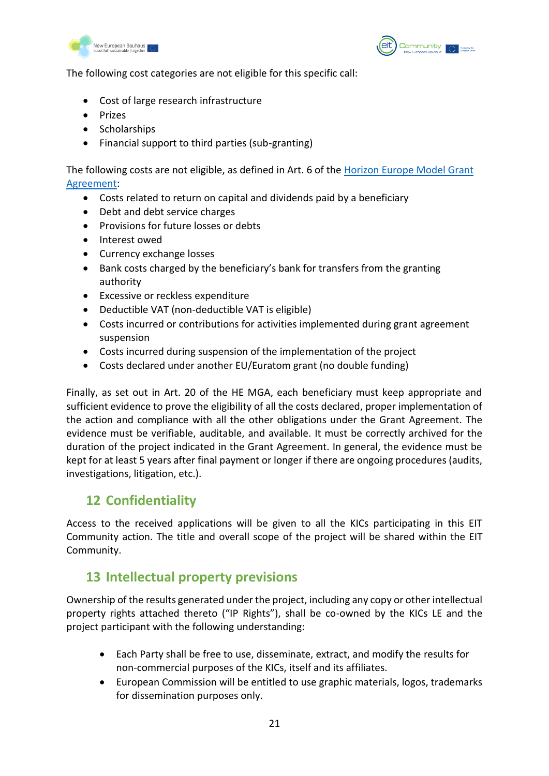



The following cost categories are not eligible for this specific call:

- Cost of large research infrastructure
- Prizes
- Scholarships
- Financial support to third parties (sub-granting)

The following costs are not eligible, as defined in Art. 6 of the [Horizon Europe Model Grant](https://ec.europa.eu/info/funding-tenders/opportunities/docs/2021-2027/common/guidance/aga_en.pdf)  [Agreement:](https://ec.europa.eu/info/funding-tenders/opportunities/docs/2021-2027/common/guidance/aga_en.pdf)

- Costs related to return on capital and dividends paid by a beneficiary
- Debt and debt service charges
- Provisions for future losses or debts
- Interest owed
- Currency exchange losses
- Bank costs charged by the beneficiary's bank for transfers from the granting authority
- Excessive or reckless expenditure
- Deductible VAT (non-deductible VAT is eligible)
- Costs incurred or contributions for activities implemented during grant agreement suspension
- Costs incurred during suspension of the implementation of the project
- Costs declared under another EU/Euratom grant (no double funding)

Finally, as set out in Art. 20 of the HE MGA, each beneficiary must keep appropriate and sufficient evidence to prove the eligibility of all the costs declared, proper implementation of the action and compliance with all the other obligations under the Grant Agreement. The evidence must be verifiable, auditable, and available. It must be correctly archived for the duration of the project indicated in the Grant Agreement. In general, the evidence must be kept for at least 5 years after final payment or longer if there are ongoing procedures (audits, investigations, litigation, etc.).

## <span id="page-21-0"></span>**12 Confidentiality**

Access to the received applications will be given to all the KICs participating in this EIT Community action. The title and overall scope of the project will be shared within the EIT Community.

## <span id="page-21-1"></span>**13 Intellectual property previsions**

Ownership of the results generated under the project, including any copy or other intellectual property rights attached thereto ("IP Rights"), shall be co-owned by the KICs LE and the project participant with the following understanding:

- Each Party shall be free to use, disseminate, extract, and modify the results for non-commercial purposes of the KICs, itself and its affiliates.
- European Commission will be entitled to use graphic materials, logos, trademarks for dissemination purposes only.